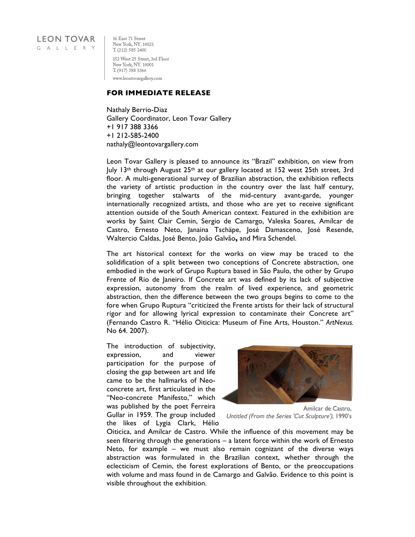## **LEON TOVAR** GALLERY

16 East 71 Street New York, NY. 10021 T. (212) 585 2400 152 West 25 Street, 3rd Floor New York, NY. 10001 T. (917) 388 3366 www.leontovargallery.com

## **FOR IMMEDIATE RELEASE**

Nathaly Berrio-Diaz Gallery Coordinator, Leon Tovar Gallery +1 917 388 3366 +1 212-585-2400 nathaly@leontovargallery.com

Leon Tovar Gallery is pleased to announce its "Brazil" exhibition, on view from July 13<sup>th</sup> through August 25<sup>th</sup> at our gallery located at 152 west 25th street, 3rd floor. A multi-generational survey of Brazilian abstraction, the exhibition reflects the variety of artistic production in the country over the last half century, bringing together stalwarts of the mid-century avant-garde, younger internationally recognized artists, and those who are yet to receive significant attention outside of the South American context. Featured in the exhibition are works by Saint Clair Cemin, Sergio de Camargo, Valeska Soares, Amílcar de Castro, Ernesto Neto, Janaina Tschäpe, José Damasceno, José Resende, Waltercio Caldas, José Bento, João Galvão**,** and Mira Schendel.

The art historical context for the works on view may be traced to the solidification of a split between two conceptions of Concrete abstraction, one embodied in the work of Grupo Ruptura based in São Paulo, the other by Grupo Frente of Rio de Janeiro. If Concrete art was defined by its lack of subjective expression, autonomy from the realm of lived experience, and geometric abstraction, then the difference between the two groups begins to come to the fore when Grupo Ruptura "criticized the Frente artists for their lack of structural rigor and for allowing lyrical expression to contaminate their Concrete art" (Fernando Castro R. "Hélio Oiticica: Museum of Fine Arts, Houston." *ArtNexus.*  No 64. 2007).

The introduction of subjectivity, expression, and viewer participation for the purpose of closing the gap between art and life came to be the hallmarks of Neoconcrete art, first articulated in the "Neo-concrete Manifesto," which was published by the poet Ferreira Gullar in 1959. The group included the likes of Lygia Clark, Hélio



Amilcar de Castro. Untitled (From the Series 'Cut Sculpture'), 1990's

Oiticica, and Amílcar de Castro. While the influence of this movement may be seen filtering through the generations – a latent force within the work of Ernesto Neto, for example – we must also remain cognizant of the diverse ways abstraction was formulated in the Brazilian context, whether through the eclecticism of Cemin, the forest explorations of Bento, or the preoccupations with volume and mass found in de Camargo and Galvão. Evidence to this point is visible throughout the exhibition.